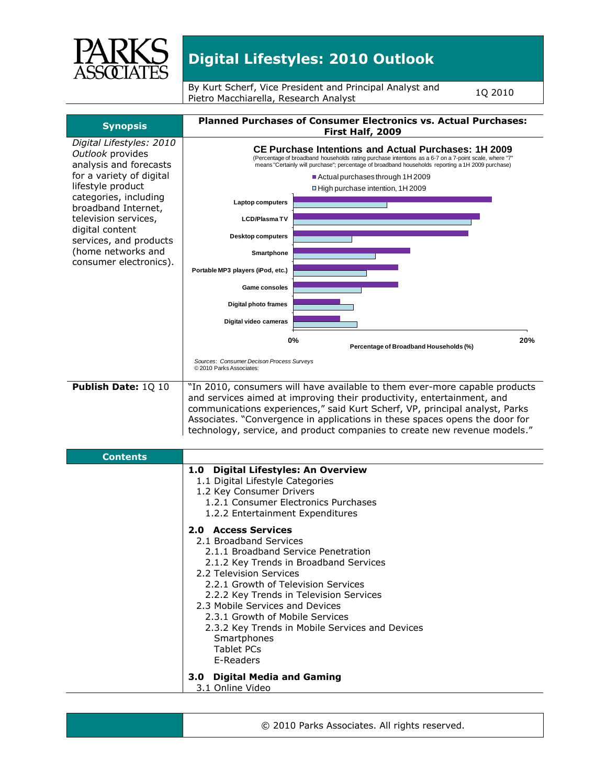

By Kurt Scherf, Vice President and Principal Analyst and By Kurt Scherf, Vice President and Principal Analyst and the 1Q 2010<br>Pietro Macchiarella, Research Analyst



© 2010 Parks Associates. All rights reserved.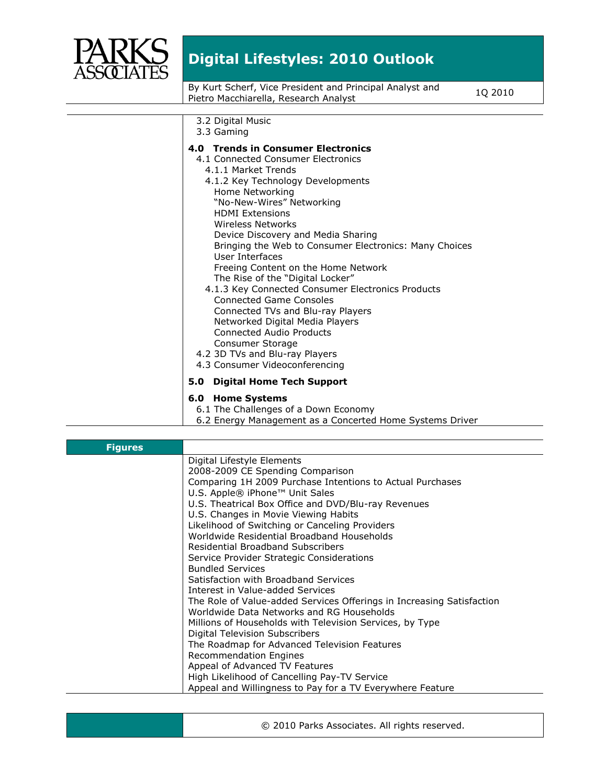

By Kurt Scherf, Vice President and Principal Analyst and By Kurt Scherf, Vice President and Principal Analyst and TQ 2010<br>Pietro Macchiarella, Research Analyst

| 3.2 Digital Music<br>3.3 Gaming                                                                                                                                                                                                                                                                                                                                                                                                                                                                                                                                                                                                                                                                                      |
|----------------------------------------------------------------------------------------------------------------------------------------------------------------------------------------------------------------------------------------------------------------------------------------------------------------------------------------------------------------------------------------------------------------------------------------------------------------------------------------------------------------------------------------------------------------------------------------------------------------------------------------------------------------------------------------------------------------------|
| 4.0 Trends in Consumer Electronics<br>4.1 Connected Consumer Electronics<br>4.1.1 Market Trends<br>4.1.2 Key Technology Developments<br>Home Networking<br>"No-New-Wires" Networking<br><b>HDMI Extensions</b><br>Wireless Networks<br>Device Discovery and Media Sharing<br>Bringing the Web to Consumer Electronics: Many Choices<br>User Interfaces<br>Freeing Content on the Home Network<br>The Rise of the "Digital Locker"<br>4.1.3 Key Connected Consumer Electronics Products<br><b>Connected Game Consoles</b><br>Connected TVs and Blu-ray Players<br>Networked Digital Media Players<br>Connected Audio Products<br>Consumer Storage<br>4.2 3D TVs and Blu-ray Players<br>4.3 Consumer Videoconferencing |
| <b>Digital Home Tech Support</b><br>5.0                                                                                                                                                                                                                                                                                                                                                                                                                                                                                                                                                                                                                                                                              |
| 6.0 Home Systems<br>6.1 The Challenges of a Down Economy<br>6.2 Energy Management as a Concerted Home Systems Driver                                                                                                                                                                                                                                                                                                                                                                                                                                                                                                                                                                                                 |

| <b>Figures</b> |                                                                       |
|----------------|-----------------------------------------------------------------------|
|                | Digital Lifestyle Elements                                            |
|                | 2008-2009 CE Spending Comparison                                      |
|                | Comparing 1H 2009 Purchase Intentions to Actual Purchases             |
|                | U.S. Apple® iPhone™ Unit Sales                                        |
|                | U.S. Theatrical Box Office and DVD/Blu-ray Revenues                   |
|                | U.S. Changes in Movie Viewing Habits                                  |
|                | Likelihood of Switching or Canceling Providers                        |
|                | Worldwide Residential Broadband Households                            |
|                | Residential Broadband Subscribers                                     |
|                | Service Provider Strategic Considerations                             |
|                | <b>Bundled Services</b>                                               |
|                | Satisfaction with Broadband Services                                  |
|                | Interest in Value-added Services                                      |
|                | The Role of Value-added Services Offerings in Increasing Satisfaction |
|                | Worldwide Data Networks and RG Households                             |
|                | Millions of Households with Television Services, by Type              |
|                | Digital Television Subscribers                                        |
|                | The Roadmap for Advanced Television Features                          |
|                | <b>Recommendation Engines</b>                                         |
|                | Appeal of Advanced TV Features                                        |
|                | High Likelihood of Cancelling Pay-TV Service                          |
|                | Appeal and Willingness to Pay for a TV Everywhere Feature             |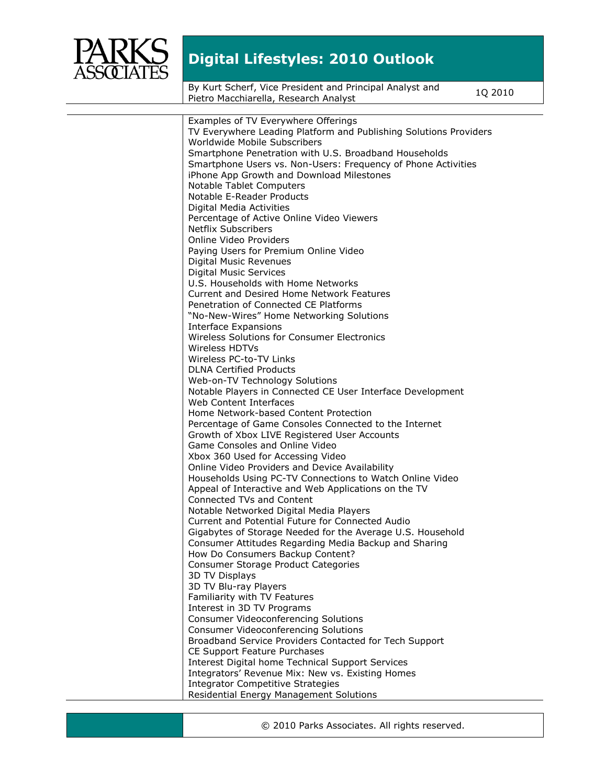

By Kurt Scherf, Vice President and Principal Analyst and By Kurt Scherf, Vice President and Principal Analyst and TQ 2010<br>Pietro Macchiarella, Research Analyst

| Examples of TV Everywhere Offerings                               |
|-------------------------------------------------------------------|
| TV Everywhere Leading Platform and Publishing Solutions Providers |
| Worldwide Mobile Subscribers                                      |
| Smartphone Penetration with U.S. Broadband Households             |
| Smartphone Users vs. Non-Users: Frequency of Phone Activities     |
| iPhone App Growth and Download Milestones                         |
| Notable Tablet Computers                                          |
| Notable E-Reader Products                                         |
| Digital Media Activities                                          |
| Percentage of Active Online Video Viewers                         |
| <b>Netflix Subscribers</b>                                        |
| Online Video Providers                                            |
| Paying Users for Premium Online Video                             |
| <b>Digital Music Revenues</b>                                     |
| <b>Digital Music Services</b>                                     |
| U.S. Households with Home Networks                                |
| Current and Desired Home Network Features                         |
| Penetration of Connected CE Platforms                             |
| "No-New-Wires" Home Networking Solutions                          |
| Interface Expansions                                              |
| Wireless Solutions for Consumer Electronics                       |
| Wireless HDTVs                                                    |
| Wireless PC-to-TV Links                                           |
| <b>DLNA Certified Products</b>                                    |
| Web-on-TV Technology Solutions                                    |
| Notable Players in Connected CE User Interface Development        |
| Web Content Interfaces                                            |
| Home Network-based Content Protection                             |
| Percentage of Game Consoles Connected to the Internet             |
| Growth of Xbox LIVE Registered User Accounts                      |
| Game Consoles and Online Video                                    |
| Xbox 360 Used for Accessing Video                                 |
| Online Video Providers and Device Availability                    |
| Households Using PC-TV Connections to Watch Online Video          |
| Appeal of Interactive and Web Applications on the TV              |
| Connected TVs and Content                                         |
| Notable Networked Digital Media Players                           |
| Current and Potential Future for Connected Audio                  |
| Gigabytes of Storage Needed for the Average U.S. Household        |
| Consumer Attitudes Regarding Media Backup and Sharing             |
| How Do Consumers Backup Content?                                  |
| Consumer Storage Product Categories                               |
| 3D TV Displays                                                    |
| 3D TV Blu-ray Players                                             |
| Familiarity with TV Features                                      |
| Interest in 3D TV Programs                                        |
| Consumer Videoconferencing Solutions                              |
| <b>Consumer Videoconferencing Solutions</b>                       |
| Broadband Service Providers Contacted for Tech Support            |
| CE Support Feature Purchases                                      |
| Interest Digital home Technical Support Services                  |
| Integrators' Revenue Mix: New vs. Existing Homes                  |
| <b>Integrator Competitive Strategies</b>                          |
| Residential Energy Management Solutions                           |

© 2010 Parks Associates. All rights reserved.